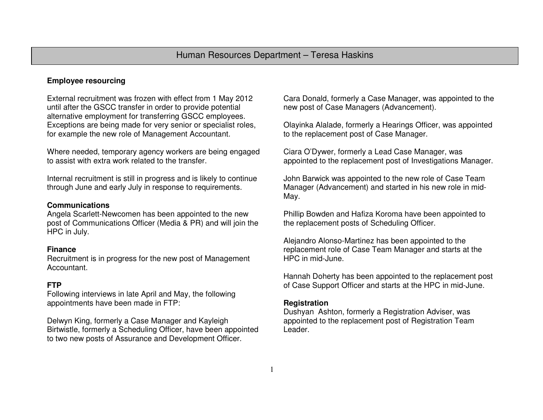# **Employee resourcing**

External recruitment was frozen with effect from 1 May 2012 until after the GSCC transfer in order to provide potential alternative employment for transferring GSCC employees. Exceptions are being made for very senior or specialist roles, for example the new role of Management Accountant.

Where needed, temporary agency workers are being engaged to assist with extra work related to the transfer.

Internal recruitment is still in progress and is likely to continue through June and early July in response to requirements.

#### **Communications**

 Angela Scarlett-Newcomen has been appointed to the new post of Communications Officer (Media & PR) and will join the HPC in July.

#### **Finance**

 Recruitment is in progress for the new post of Management Accountant.

## **FTP**

 Following interviews in late April and May, the following appointments have been made in FTP:

Delwyn King, formerly a Case Manager and Kayleigh Birtwistle, formerly a Scheduling Officer, have been appointed to two new posts of Assurance and Development Officer.

Cara Donald, formerly a Case Manager, was appointed to the new post of Case Managers (Advancement).

Olayinka Alalade, formerly a Hearings Officer, was appointed to the replacement post of Case Manager.

Ciara O'Dywer, formerly a Lead Case Manager, was appointed to the replacement post of Investigations Manager.

John Barwick was appointed to the new role of Case Team Manager (Advancement) and started in his new role in mid-May.

Phillip Bowden and Hafiza Koroma have been appointed to the replacement posts of Scheduling Officer.

Alejandro Alonso-Martinez has been appointed to the replacement role of Case Team Manager and starts at the HPC in mid-June.

Hannah Doherty has been appointed to the replacement post of Case Support Officer and starts at the HPC in mid-June.

#### **Registration**

 Dushyan Ashton, formerly a Registration Adviser, was appointed to the replacement post of Registration Team Leader.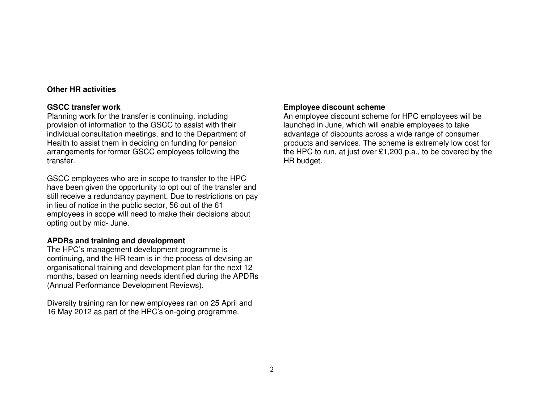### **Other HR activities**

### **GSCC transfer work**

 Planning work for the transfer is continuing, including provision of information to the GSCC to assist with their individual consultation meetings, and to the Department of Health to assist them in deciding on funding for pension arrangements for former GSCC employees following the transfer.

GSCC employees who are in scope to transfer to the HPC have been given the opportunity to opt out of the transfer and still receive a redundancy payment. Due to restrictions on pay in lieu of notice in the public sector, 56 out of the 61 employees in scope will need to make their decisions about opting out by mid- June.

## **APDRs and training and development**

 The HPC's management development programme is continuing, and the HR team is in the process of devising an organisational training and development plan for the next 12 months, based on learning needs identified during the APDRs (Annual Performance Development Reviews).

Diversity training ran for new employees ran on 25 April and 16 May 2012 as part of the HPC's on-going programme.

# **Employee discount scheme**

 An employee discount scheme for HPC employees will be launched in June, which will enable employees to take advantage of discounts across a wide range of consumer products and services. The scheme is extremely low cost for the HPC to run, at just over £1,200 p.a., to be covered by the HR budget.